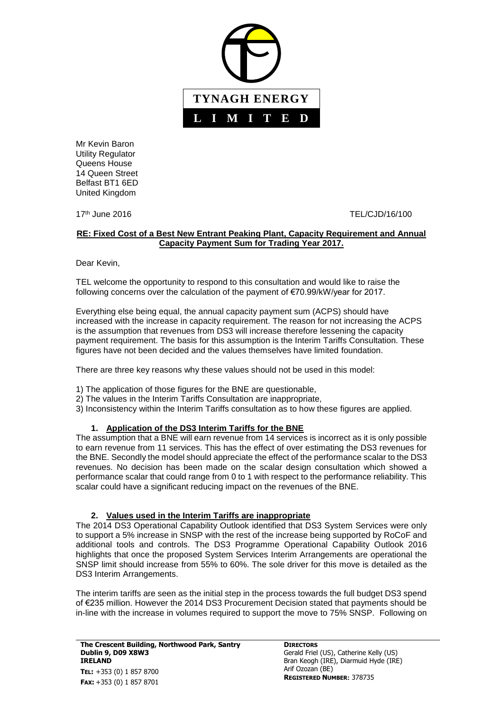

Mr Kevin Baron Utility Regulator Queens House 14 Queen Street Belfast BT1 6ED United Kingdom

17th June 2016 TEL/CJD/16/100

## **RE: Fixed Cost of a Best New Entrant Peaking Plant, Capacity Requirement and Annual Capacity Payment Sum for Trading Year 2017.**

Dear Kevin,

TEL welcome the opportunity to respond to this consultation and would like to raise the following concerns over the calculation of the payment of €70.99/kW/year for 2017.

Everything else being equal, the annual capacity payment sum (ACPS) should have increased with the increase in capacity requirement. The reason for not increasing the ACPS is the assumption that revenues from DS3 will increase therefore lessening the capacity payment requirement. The basis for this assumption is the Interim Tariffs Consultation. These figures have not been decided and the values themselves have limited foundation.

There are three key reasons why these values should not be used in this model:

- 1) The application of those figures for the BNE are questionable,
- 2) The values in the Interim Tariffs Consultation are inappropriate,
- 3) Inconsistency within the Interim Tariffs consultation as to how these figures are applied.

## **1. Application of the DS3 Interim Tariffs for the BNE**

The assumption that a BNE will earn revenue from 14 services is incorrect as it is only possible to earn revenue from 11 services. This has the effect of over estimating the DS3 revenues for the BNE. Secondly the model should appreciate the effect of the performance scalar to the DS3 revenues. No decision has been made on the scalar design consultation which showed a performance scalar that could range from 0 to 1 with respect to the performance reliability. This scalar could have a significant reducing impact on the revenues of the BNE.

## **2. Values used in the Interim Tariffs are inappropriate**

The 2014 DS3 Operational Capability Outlook identified that DS3 System Services were only to support a 5% increase in SNSP with the rest of the increase being supported by RoCoF and additional tools and controls. The DS3 Programme Operational Capability Outlook 2016 highlights that once the proposed System Services Interim Arrangements are operational the SNSP limit should increase from 55% to 60%. The sole driver for this move is detailed as the DS3 Interim Arrangements.

The interim tariffs are seen as the initial step in the process towards the full budget DS3 spend of €235 million. However the 2014 DS3 Procurement Decision stated that payments should be in-line with the increase in volumes required to support the move to 75% SNSP. Following on